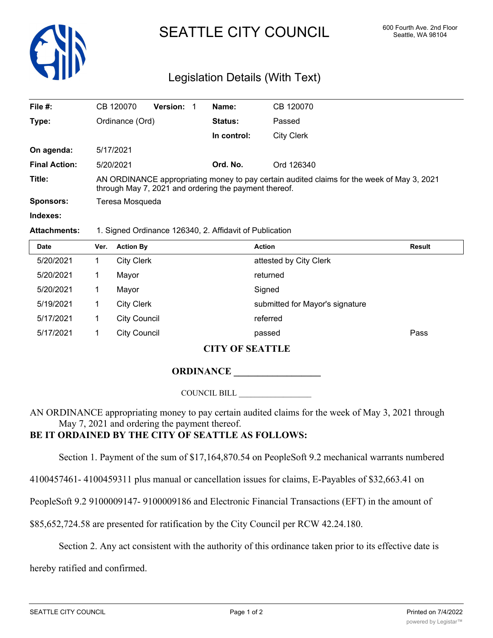

# SEATTLE CITY COUNCIL 600 Fourth Ave. 2nd Floor

## Legislation Details (With Text)

| File #:              | CB 120070                                                                                                                                           | <b>Version:</b> | Name:          | CB 120070  |  |  |  |
|----------------------|-----------------------------------------------------------------------------------------------------------------------------------------------------|-----------------|----------------|------------|--|--|--|
| Type:                | Ordinance (Ord)                                                                                                                                     |                 | <b>Status:</b> | Passed     |  |  |  |
|                      |                                                                                                                                                     |                 | In control:    | City Clerk |  |  |  |
| On agenda:           | 5/17/2021                                                                                                                                           |                 |                |            |  |  |  |
| <b>Final Action:</b> | 5/20/2021                                                                                                                                           |                 | Ord. No.       | Ord 126340 |  |  |  |
| Title:               | AN ORDINANCE appropriating money to pay certain audited claims for the week of May 3, 2021<br>through May 7, 2021 and ordering the payment thereof. |                 |                |            |  |  |  |
| Sponsors:            | Teresa Mosqueda                                                                                                                                     |                 |                |            |  |  |  |
| Indexes:             |                                                                                                                                                     |                 |                |            |  |  |  |

#### **Attachments:** 1. Signed Ordinance 126340, 2. Affidavit of Publication

| <b>Date</b> | Ver. | <b>Action By</b>    | <b>Action</b>                   | Result |
|-------------|------|---------------------|---------------------------------|--------|
| 5/20/2021   |      | <b>City Clerk</b>   | attested by City Clerk          |        |
| 5/20/2021   |      | Mayor               | returned                        |        |
| 5/20/2021   |      | Mayor               | Signed                          |        |
| 5/19/2021   |      | <b>City Clerk</b>   | submitted for Mayor's signature |        |
| 5/17/2021   |      | <b>City Council</b> | referred                        |        |
| 5/17/2021   |      | <b>City Council</b> | passed                          | Pass   |

#### **CITY OF SEATTLE**

#### **ORDINANCE \_\_\_\_\_\_\_\_\_\_\_\_\_\_\_\_\_\_**

COUNCIL BILL \_\_\_\_\_\_\_\_\_\_\_\_\_\_\_\_\_\_

AN ORDINANCE appropriating money to pay certain audited claims for the week of May 3, 2021 through May 7, 2021 and ordering the payment thereof.

### **BE IT ORDAINED BY THE CITY OF SEATTLE AS FOLLOWS:**

Section 1. Payment of the sum of \$17,164,870.54 on PeopleSoft 9.2 mechanical warrants numbered

4100457461- 4100459311 plus manual or cancellation issues for claims, E-Payables of \$32,663.41 on

PeopleSoft 9.2 9100009147- 9100009186 and Electronic Financial Transactions (EFT) in the amount of

\$85,652,724.58 are presented for ratification by the City Council per RCW 42.24.180.

Section 2. Any act consistent with the authority of this ordinance taken prior to its effective date is

hereby ratified and confirmed.